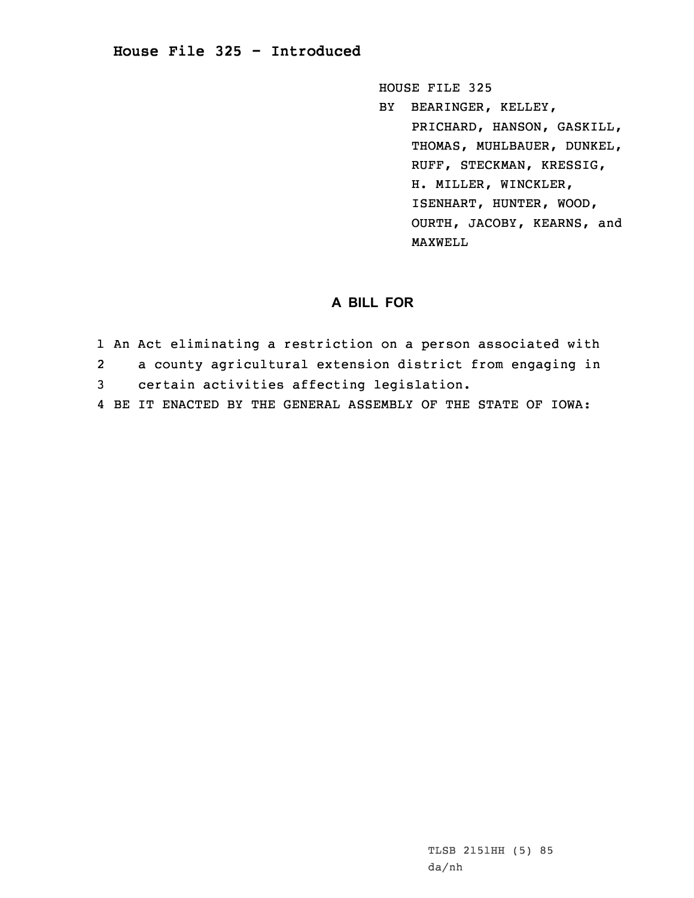## **House File 325 - Introduced**

HOUSE FILE 325

BY BEARINGER, KELLEY, PRICHARD, HANSON, GASKILL, THOMAS, MUHLBAUER, DUNKEL, RUFF, STECKMAN, KRESSIG, H. MILLER, WINCKLER, ISENHART, HUNTER, WOOD, OURTH, JACOBY, KEARNS, and MAXWELL

## **A BILL FOR**

- 1 An Act eliminating <sup>a</sup> restriction on <sup>a</sup> person associated with
- 2<sup>a</sup> county agricultural extension district from engaging in
- 3 certain activities affecting legislation.
- 4 BE IT ENACTED BY THE GENERAL ASSEMBLY OF THE STATE OF IOWA: